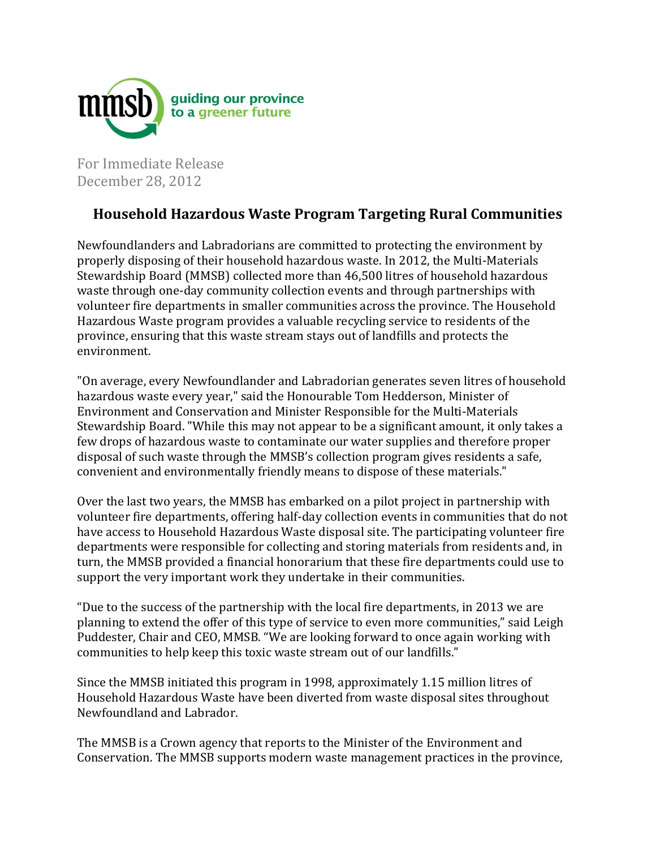

For Immediate Release December 28, 2012

## **Household Hazardous Waste Program Targeting Rural Communities**

Newfoundlanders and Labradorians are committed to protecting the environment by properly disposing of their household hazardous waste. In 2012, the Multi-Materials Stewardship Board (MMSB) collected more than 46,500 litres of household hazardous waste through one-day community collection events and through partnerships with volunteer fire departments in smaller communities across the province. The Household Hazardous Waste program provides a valuable recycling service to residents of the province, ensuring that this waste stream stays out of landfills and protects the environment.

"On average, every Newfoundlander and Labradorian generates seven litres of household hazardous waste every year," said the Honourable Tom Hedderson, Minister of Environment and Conservation and Minister Responsible for the Multi-Materials Stewardship Board. "While this may not appear to be a significant amount, it only takes a few drops of hazardous waste to contaminate our water supplies and therefore proper disposal of such waste through the MMSB's collection program gives residents a safe, convenient and environmentally friendly means to dispose of these materials."

Over the last two years, the MMSB has embarked on a pilot project in partnership with volunteer fire departments, offering half-day collection events in communities that do not have access to Household Hazardous Waste disposal site. The participating volunteer fire departments were responsible for collecting and storing materials from residents and, in turn, the MMSB provided a financial honorarium that these fire departments could use to support the very important work they undertake in their communities.

"Due to the success of the partnership with the local fire departments, in 2013 we are planning to extend the offer of this type of service to even more communities," said Leigh Puddester, Chair and CEO, MMSB. "We are looking forward to once again working with communities to help keep this toxic waste stream out of our landfills."

Since the MMSB initiated this program in 1998, approximately 1.15 million litres of Household Hazardous Waste have been diverted from waste disposal sites throughout Newfoundland and Labrador.

The MMSB is a Crown agency that reports to the Minister of the Environment and Conservation. The MMSB supports modern waste management practices in the province,